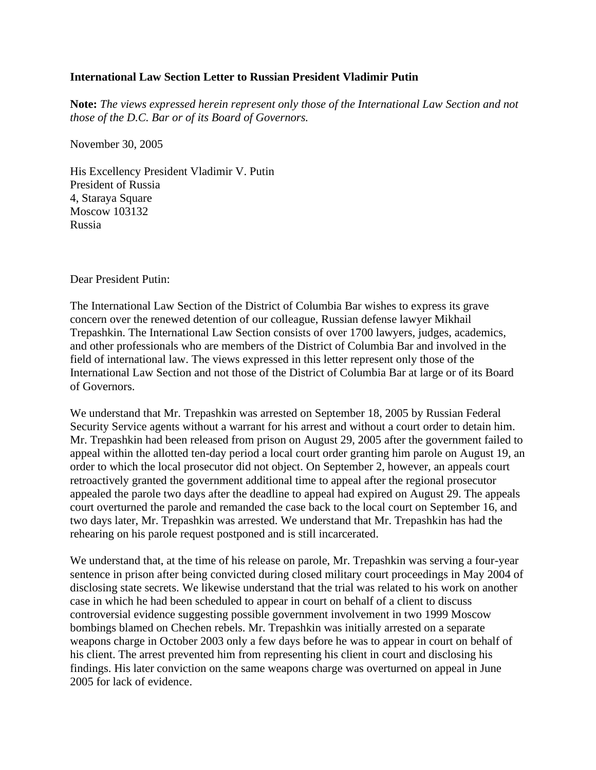## **International Law Section Letter to Russian President Vladimir Putin**

**Note:** *The views expressed herein represent only those of the International Law Section and not those of the D.C. Bar or of its Board of Governors.*

November 30, 2005

His Excellency President Vladimir V. Putin President of Russia 4, Staraya Square Moscow 103132 Russia

Dear President Putin:

The International Law Section of the District of Columbia Bar wishes to express its grave concern over the renewed detention of our colleague, Russian defense lawyer Mikhail Trepashkin. The International Law Section consists of over 1700 lawyers, judges, academics, and other professionals who are members of the District of Columbia Bar and involved in the field of international law. The views expressed in this letter represent only those of the International Law Section and not those of the District of Columbia Bar at large or of its Board of Governors.

We understand that Mr. Trepashkin was arrested on September 18, 2005 by Russian Federal Security Service agents without a warrant for his arrest and without a court order to detain him. Mr. Trepashkin had been released from prison on August 29, 2005 after the government failed to appeal within the allotted ten-day period a local court order granting him parole on August 19, an order to which the local prosecutor did not object. On September 2, however, an appeals court retroactively granted the government additional time to appeal after the regional prosecutor appealed the parole two days after the deadline to appeal had expired on August 29. The appeals court overturned the parole and remanded the case back to the local court on September 16, and two days later, Mr. Trepashkin was arrested. We understand that Mr. Trepashkin has had the rehearing on his parole request postponed and is still incarcerated.

We understand that, at the time of his release on parole, Mr. Trepashkin was serving a four-year sentence in prison after being convicted during closed military court proceedings in May 2004 of disclosing state secrets. We likewise understand that the trial was related to his work on another case in which he had been scheduled to appear in court on behalf of a client to discuss controversial evidence suggesting possible government involvement in two 1999 Moscow bombings blamed on Chechen rebels. Mr. Trepashkin was initially arrested on a separate weapons charge in October 2003 only a few days before he was to appear in court on behalf of his client. The arrest prevented him from representing his client in court and disclosing his findings. His later conviction on the same weapons charge was overturned on appeal in June 2005 for lack of evidence.